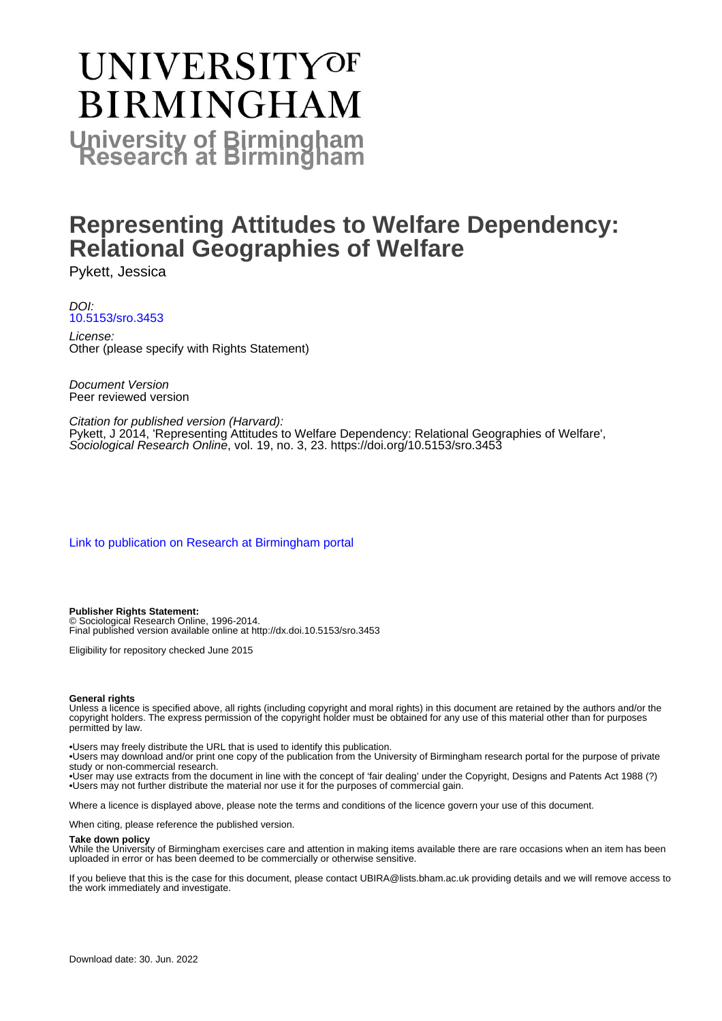# UNIVERSITYOF **BIRMINGHAM University of Birmingham**

## **Representing Attitudes to Welfare Dependency: Relational Geographies of Welfare**

Pykett, Jessica

DOI: [10.5153/sro.3453](https://doi.org/10.5153/sro.3453)

License: Other (please specify with Rights Statement)

Document Version Peer reviewed version

Citation for published version (Harvard): Pykett, J 2014, 'Representing Attitudes to Welfare Dependency: Relational Geographies of Welfare', Sociological Research Online, vol. 19, no. 3, 23. <https://doi.org/10.5153/sro.3453>

[Link to publication on Research at Birmingham portal](https://birmingham.elsevierpure.com/en/publications/49186fec-c09f-45e0-994c-5cd70d431d67)

**Publisher Rights Statement:**

© Sociological Research Online, 1996-2014. Final published version available online at http://dx.doi.10.5153/sro.3453

Eligibility for repository checked June 2015

#### **General rights**

Unless a licence is specified above, all rights (including copyright and moral rights) in this document are retained by the authors and/or the copyright holders. The express permission of the copyright holder must be obtained for any use of this material other than for purposes permitted by law.

• Users may freely distribute the URL that is used to identify this publication.

• Users may download and/or print one copy of the publication from the University of Birmingham research portal for the purpose of private study or non-commercial research.

• User may use extracts from the document in line with the concept of 'fair dealing' under the Copyright, Designs and Patents Act 1988 (?) • Users may not further distribute the material nor use it for the purposes of commercial gain.

Where a licence is displayed above, please note the terms and conditions of the licence govern your use of this document.

When citing, please reference the published version.

#### **Take down policy**

While the University of Birmingham exercises care and attention in making items available there are rare occasions when an item has been uploaded in error or has been deemed to be commercially or otherwise sensitive.

If you believe that this is the case for this document, please contact UBIRA@lists.bham.ac.uk providing details and we will remove access to the work immediately and investigate.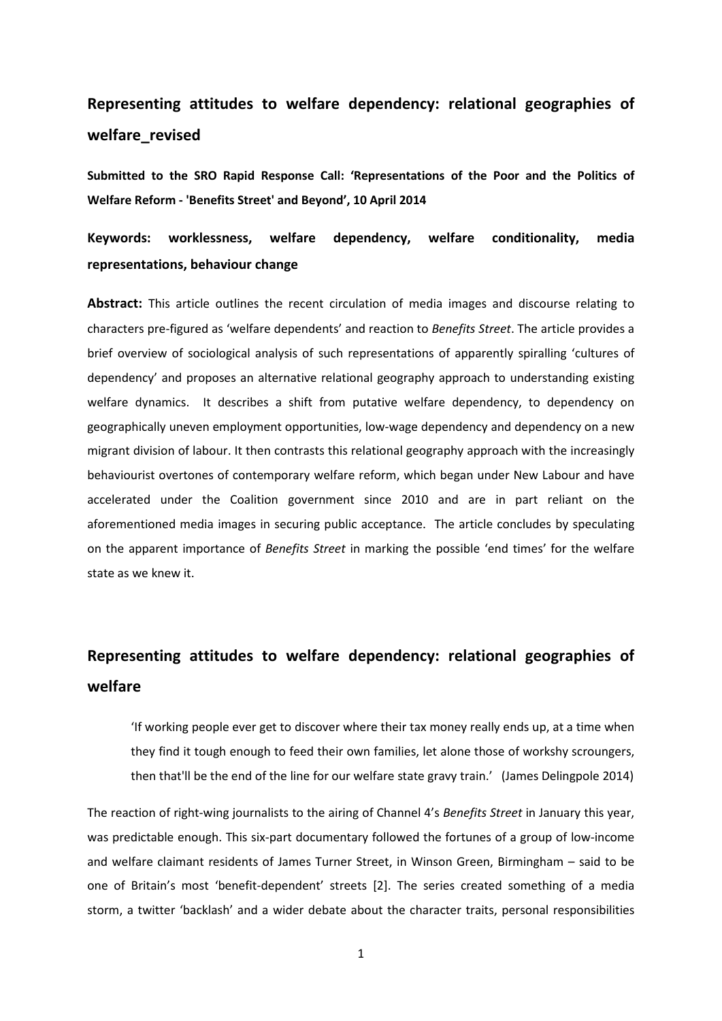### **Representing attitudes to welfare dependency: relational geographies of welfare\_revised**

**Submitted to the SRO Rapid Response Call: 'Representations of the Poor and the Politics of Welfare Reform - 'Benefits Street' and Beyond', 10 April 2014**

**Keywords: worklessness, welfare dependency, welfare conditionality, media representations, behaviour change**

**Abstract:** This article outlines the recent circulation of media images and discourse relating to characters pre-figured as 'welfare dependents' and reaction to *Benefits Street*. The article provides a brief overview of sociological analysis of such representations of apparently spiralling 'cultures of dependency' and proposes an alternative relational geography approach to understanding existing welfare dynamics. It describes a shift from putative welfare dependency, to dependency on geographically uneven employment opportunities, low-wage dependency and dependency on a new migrant division of labour. It then contrasts this relational geography approach with the increasingly behaviourist overtones of contemporary welfare reform, which began under New Labour and have accelerated under the Coalition government since 2010 and are in part reliant on the aforementioned media images in securing public acceptance. The article concludes by speculating on the apparent importance of *Benefits Street* in marking the possible 'end times' for the welfare state as we knew it.

### **Representing attitudes to welfare dependency: relational geographies of welfare**

'If working people ever get to discover where their tax money really ends up, at a time when they find it tough enough to feed their own families, let alone those of workshy scroungers, then that'll be the end of the line for our welfare state gravy train.' (James Delingpole 2014)

The reaction of right-wing journalists to the airing of Channel 4's *Benefits Street* in January this year, was predictable enough. This six-part documentary followed the fortunes of a group of low-income and welfare claimant residents of James Turner Street, in Winson Green, Birmingham – said to be one of Britain's most 'benefit-dependent' streets [2]. The series created something of a media storm, a twitter 'backlash' and a wider debate about the character traits, personal responsibilities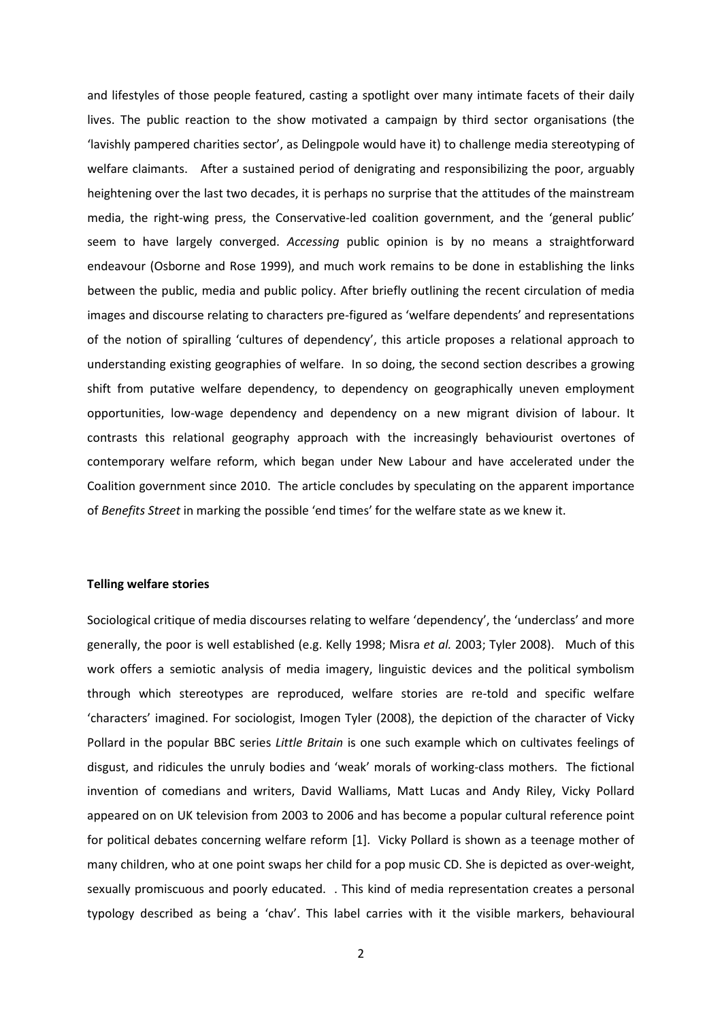and lifestyles of those people featured, casting a spotlight over many intimate facets of their daily lives. The public reaction to the show motivated a campaign by third sector organisations (the 'lavishly pampered charities sector', as Delingpole would have it) to challenge media stereotyping of welfare claimants. After a sustained period of denigrating and responsibilizing the poor, arguably heightening over the last two decades, it is perhaps no surprise that the attitudes of the mainstream media, the right-wing press, the Conservative-led coalition government, and the 'general public' seem to have largely converged. *Accessing* public opinion is by no means a straightforward endeavour (Osborne and Rose 1999), and much work remains to be done in establishing the links between the public, media and public policy. After briefly outlining the recent circulation of media images and discourse relating to characters pre-figured as 'welfare dependents' and representations of the notion of spiralling 'cultures of dependency', this article proposes a relational approach to understanding existing geographies of welfare. In so doing, the second section describes a growing shift from putative welfare dependency, to dependency on geographically uneven employment opportunities, low-wage dependency and dependency on a new migrant division of labour. It contrasts this relational geography approach with the increasingly behaviourist overtones of contemporary welfare reform, which began under New Labour and have accelerated under the Coalition government since 2010. The article concludes by speculating on the apparent importance of *Benefits Street* in marking the possible 'end times' for the welfare state as we knew it.

### **Telling welfare stories**

Sociological critique of media discourses relating to welfare 'dependency', the 'underclass' and more generally, the poor is well established (e.g. Kelly 1998; Misra *et al.* 2003; Tyler 2008). Much of this work offers a semiotic analysis of media imagery, linguistic devices and the political symbolism through which stereotypes are reproduced, welfare stories are re-told and specific welfare 'characters' imagined. For sociologist, Imogen Tyler (2008), the depiction of the character of Vicky Pollard in the popular BBC series *Little Britain* is one such example which on cultivates feelings of disgust, and ridicules the unruly bodies and 'weak' morals of working-class mothers. The fictional invention of comedians and writers, David Walliams, Matt Lucas and Andy Riley, Vicky Pollard appeared on on UK television from 2003 to 2006 and has become a popular cultural reference point for political debates concerning welfare reform [1]. Vicky Pollard is shown as a teenage mother of many children, who at one point swaps her child for a pop music CD. She is depicted as over-weight, sexually promiscuous and poorly educated. . This kind of media representation creates a personal typology described as being a 'chav'. This label carries with it the visible markers, behavioural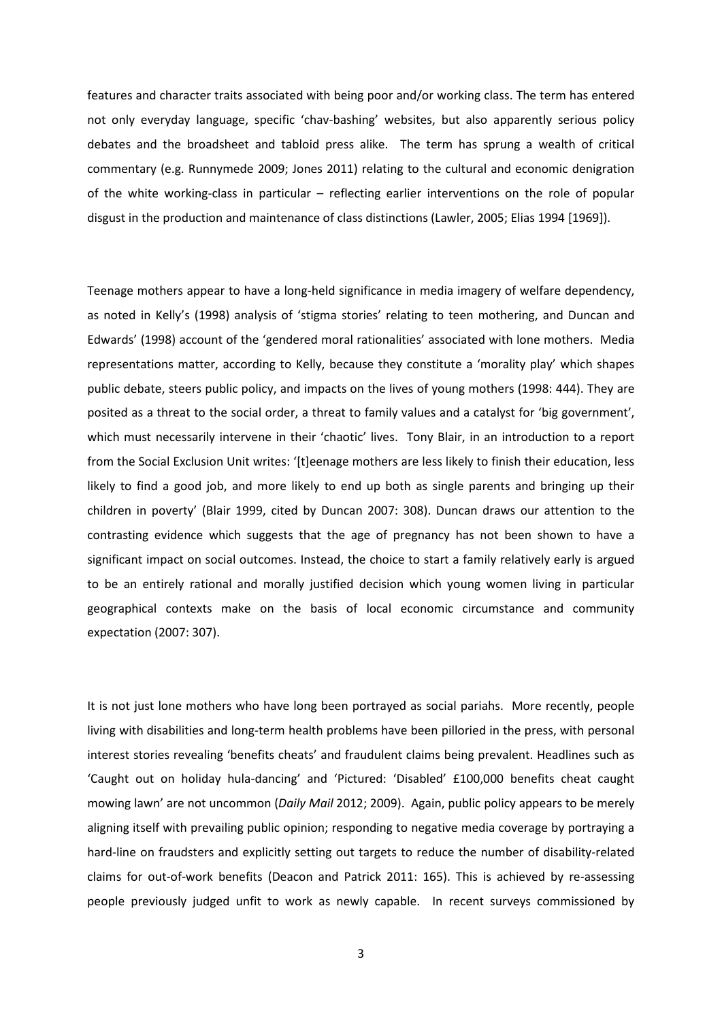features and character traits associated with being poor and/or working class. The term has entered not only everyday language, specific 'chav-bashing' websites, but also apparently serious policy debates and the broadsheet and tabloid press alike. The term has sprung a wealth of critical commentary (e.g. Runnymede 2009; Jones 2011) relating to the cultural and economic denigration of the white working-class in particular – reflecting earlier interventions on the role of popular disgust in the production and maintenance of class distinctions (Lawler, 2005; Elias 1994 [1969]).

Teenage mothers appear to have a long-held significance in media imagery of welfare dependency, as noted in Kelly's (1998) analysis of 'stigma stories' relating to teen mothering, and Duncan and Edwards' (1998) account of the 'gendered moral rationalities' associated with lone mothers. Media representations matter, according to Kelly, because they constitute a 'morality play' which shapes public debate, steers public policy, and impacts on the lives of young mothers (1998: 444). They are posited as a threat to the social order, a threat to family values and a catalyst for 'big government', which must necessarily intervene in their 'chaotic' lives. Tony Blair, in an introduction to a report from the Social Exclusion Unit writes: '[t]eenage mothers are less likely to finish their education, less likely to find a good job, and more likely to end up both as single parents and bringing up their children in poverty' (Blair 1999, cited by Duncan 2007: 308). Duncan draws our attention to the contrasting evidence which suggests that the age of pregnancy has not been shown to have a significant impact on social outcomes. Instead, the choice to start a family relatively early is argued to be an entirely rational and morally justified decision which young women living in particular geographical contexts make on the basis of local economic circumstance and community expectation (2007: 307).

It is not just lone mothers who have long been portrayed as social pariahs. More recently, people living with disabilities and long-term health problems have been pilloried in the press, with personal interest stories revealing 'benefits cheats' and fraudulent claims being prevalent. Headlines such as 'Caught out on holiday hula-dancing' and 'Pictured: 'Disabled' £100,000 benefits cheat caught mowing lawn' are not uncommon (*Daily Mail* 2012; 2009). Again, public policy appears to be merely aligning itself with prevailing public opinion; responding to negative media coverage by portraying a hard-line on fraudsters and explicitly setting out targets to reduce the number of disability-related claims for out-of-work benefits (Deacon and Patrick 2011: 165). This is achieved by re-assessing people previously judged unfit to work as newly capable. In recent surveys commissioned by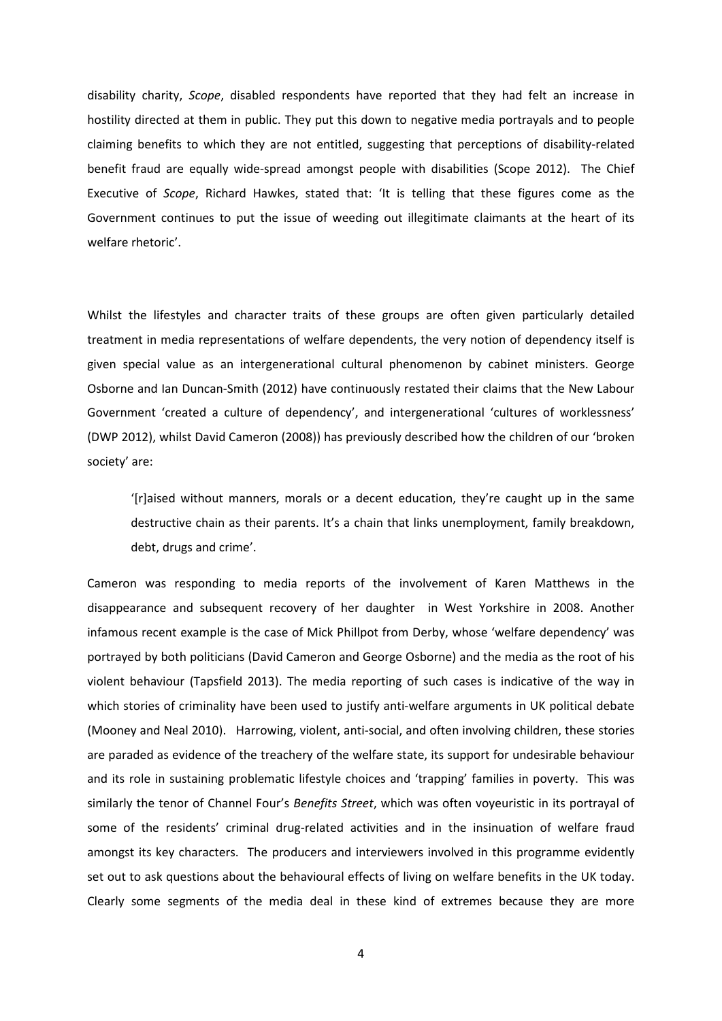disability charity, *Scope*, disabled respondents have reported that they had felt an increase in hostility directed at them in public. They put this down to negative media portrayals and to people claiming benefits to which they are not entitled, suggesting that perceptions of disability-related benefit fraud are equally wide-spread amongst people with disabilities (Scope 2012). The Chief Executive of *Scope*, Richard Hawkes, stated that: 'It is telling that these figures come as the Government continues to put the issue of weeding out illegitimate claimants at the heart of its welfare rhetoric'.

Whilst the lifestyles and character traits of these groups are often given particularly detailed treatment in media representations of welfare dependents, the very notion of dependency itself is given special value as an intergenerational cultural phenomenon by cabinet ministers. George Osborne and Ian Duncan-Smith (2012) have continuously restated their claims that the New Labour Government 'created a culture of dependency', and intergenerational 'cultures of worklessness' (DWP 2012), whilst David Cameron (2008)) has previously described how the children of our 'broken society' are:

'[r]aised without manners, morals or a decent education, they're caught up in the same destructive chain as their parents. It's a chain that links unemployment, family breakdown, debt, drugs and crime'.

Cameron was responding to media reports of the involvement of Karen Matthews in the disappearance and subsequent recovery of her daughter in West Yorkshire in 2008. Another infamous recent example is the case of Mick Phillpot from Derby, whose 'welfare dependency' was portrayed by both politicians (David Cameron and George Osborne) and the media as the root of his violent behaviour (Tapsfield 2013). The media reporting of such cases is indicative of the way in which stories of criminality have been used to justify anti-welfare arguments in UK political debate (Mooney and Neal 2010). Harrowing, violent, anti-social, and often involving children, these stories are paraded as evidence of the treachery of the welfare state, its support for undesirable behaviour and its role in sustaining problematic lifestyle choices and 'trapping' families in poverty. This was similarly the tenor of Channel Four's *Benefits Street*, which was often voyeuristic in its portrayal of some of the residents' criminal drug-related activities and in the insinuation of welfare fraud amongst its key characters. The producers and interviewers involved in this programme evidently set out to ask questions about the behavioural effects of living on welfare benefits in the UK today. Clearly some segments of the media deal in these kind of extremes because they are more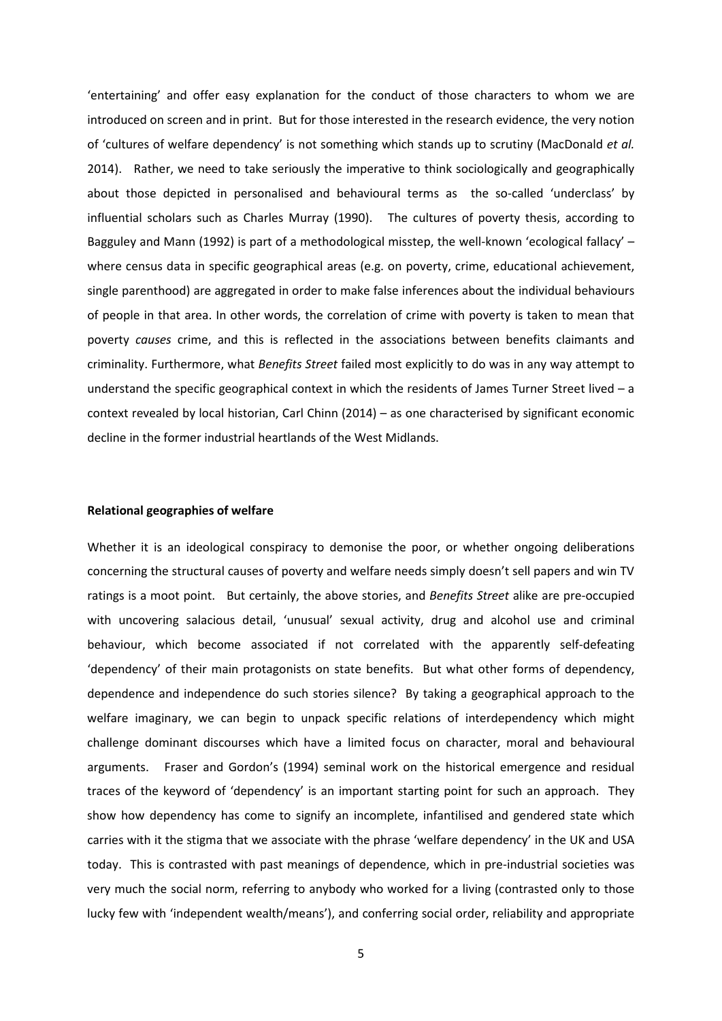'entertaining' and offer easy explanation for the conduct of those characters to whom we are introduced on screen and in print. But for those interested in the research evidence, the very notion of 'cultures of welfare dependency' is not something which stands up to scrutiny (MacDonald *et al.* 2014). Rather, we need to take seriously the imperative to think sociologically and geographically about those depicted in personalised and behavioural terms as the so-called 'underclass' by influential scholars such as Charles Murray (1990). The cultures of poverty thesis, according to Bagguley and Mann (1992) is part of a methodological misstep, the well-known 'ecological fallacy' – where census data in specific geographical areas (e.g. on poverty, crime, educational achievement, single parenthood) are aggregated in order to make false inferences about the individual behaviours of people in that area. In other words, the correlation of crime with poverty is taken to mean that poverty *causes* crime, and this is reflected in the associations between benefits claimants and criminality. Furthermore, what *Benefits Street* failed most explicitly to do was in any way attempt to understand the specific geographical context in which the residents of James Turner Street lived – a context revealed by local historian, Carl Chinn (2014) – as one characterised by significant economic decline in the former industrial heartlands of the West Midlands.

### **Relational geographies of welfare**

Whether it is an ideological conspiracy to demonise the poor, or whether ongoing deliberations concerning the structural causes of poverty and welfare needs simply doesn't sell papers and win TV ratings is a moot point. But certainly, the above stories, and *Benefits Street* alike are pre-occupied with uncovering salacious detail, 'unusual' sexual activity, drug and alcohol use and criminal behaviour, which become associated if not correlated with the apparently self-defeating 'dependency' of their main protagonists on state benefits. But what other forms of dependency, dependence and independence do such stories silence? By taking a geographical approach to the welfare imaginary, we can begin to unpack specific relations of interdependency which might challenge dominant discourses which have a limited focus on character, moral and behavioural arguments. Fraser and Gordon's (1994) seminal work on the historical emergence and residual traces of the keyword of 'dependency' is an important starting point for such an approach. They show how dependency has come to signify an incomplete, infantilised and gendered state which carries with it the stigma that we associate with the phrase 'welfare dependency' in the UK and USA today. This is contrasted with past meanings of dependence, which in pre-industrial societies was very much the social norm, referring to anybody who worked for a living (contrasted only to those lucky few with 'independent wealth/means'), and conferring social order, reliability and appropriate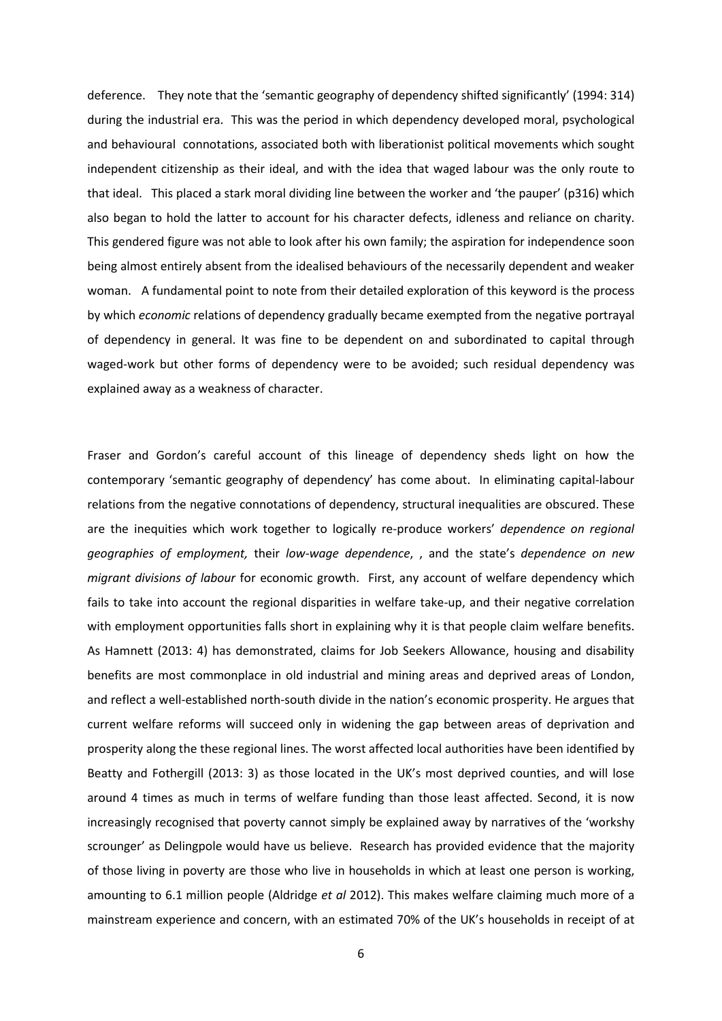deference. They note that the 'semantic geography of dependency shifted significantly' (1994: 314) during the industrial era. This was the period in which dependency developed moral, psychological and behavioural connotations, associated both with liberationist political movements which sought independent citizenship as their ideal, and with the idea that waged labour was the only route to that ideal. This placed a stark moral dividing line between the worker and 'the pauper' (p316) which also began to hold the latter to account for his character defects, idleness and reliance on charity. This gendered figure was not able to look after his own family; the aspiration for independence soon being almost entirely absent from the idealised behaviours of the necessarily dependent and weaker woman. A fundamental point to note from their detailed exploration of this keyword is the process by which *economic* relations of dependency gradually became exempted from the negative portrayal of dependency in general. It was fine to be dependent on and subordinated to capital through waged-work but other forms of dependency were to be avoided; such residual dependency was explained away as a weakness of character.

Fraser and Gordon's careful account of this lineage of dependency sheds light on how the contemporary 'semantic geography of dependency' has come about. In eliminating capital-labour relations from the negative connotations of dependency, structural inequalities are obscured. These are the inequities which work together to logically re-produce workers' *dependence on regional geographies of employment,* their *low-wage dependence*, , and the state's *dependence on new migrant divisions of labour* for economic growth. First, any account of welfare dependency which fails to take into account the regional disparities in welfare take-up, and their negative correlation with employment opportunities falls short in explaining why it is that people claim welfare benefits. As Hamnett (2013: 4) has demonstrated, claims for Job Seekers Allowance, housing and disability benefits are most commonplace in old industrial and mining areas and deprived areas of London, and reflect a well-established north-south divide in the nation's economic prosperity. He argues that current welfare reforms will succeed only in widening the gap between areas of deprivation and prosperity along the these regional lines. The worst affected local authorities have been identified by Beatty and Fothergill (2013: 3) as those located in the UK's most deprived counties, and will lose around 4 times as much in terms of welfare funding than those least affected. Second, it is now increasingly recognised that poverty cannot simply be explained away by narratives of the 'workshy scrounger' as Delingpole would have us believe. Research has provided evidence that the majority of those living in poverty are those who live in households in which at least one person is working, amounting to 6.1 million people (Aldridge *et al* 2012). This makes welfare claiming much more of a mainstream experience and concern, with an estimated 70% of the UK's households in receipt of at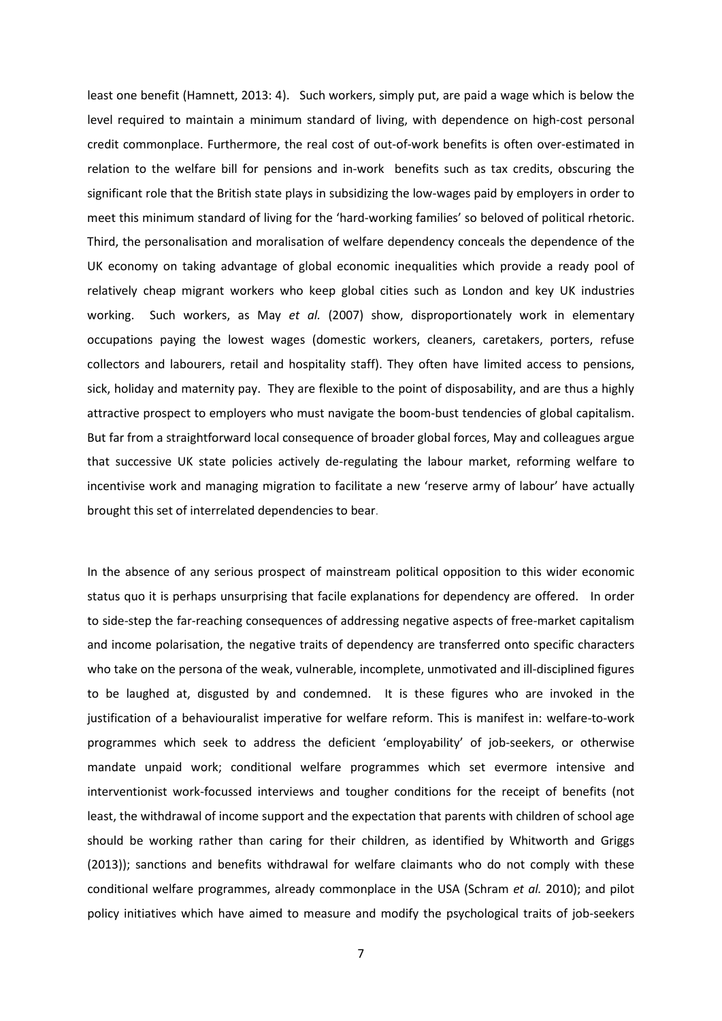least one benefit (Hamnett, 2013: 4). Such workers, simply put, are paid a wage which is below the level required to maintain a minimum standard of living, with dependence on high-cost personal credit commonplace. Furthermore, the real cost of out-of-work benefits is often over-estimated in relation to the welfare bill for pensions and in-work benefits such as tax credits, obscuring the significant role that the British state plays in subsidizing the low-wages paid by employers in order to meet this minimum standard of living for the 'hard-working families' so beloved of political rhetoric. Third, the personalisation and moralisation of welfare dependency conceals the dependence of the UK economy on taking advantage of global economic inequalities which provide a ready pool of relatively cheap migrant workers who keep global cities such as London and key UK industries working. Such workers, as May *et al.* (2007) show, disproportionately work in elementary occupations paying the lowest wages (domestic workers, cleaners, caretakers, porters, refuse collectors and labourers, retail and hospitality staff). They often have limited access to pensions, sick, holiday and maternity pay. They are flexible to the point of disposability, and are thus a highly attractive prospect to employers who must navigate the boom-bust tendencies of global capitalism. But far from a straightforward local consequence of broader global forces, May and colleagues argue that successive UK state policies actively de-regulating the labour market, reforming welfare to incentivise work and managing migration to facilitate a new 'reserve army of labour' have actually brought this set of interrelated dependencies to bear.

In the absence of any serious prospect of mainstream political opposition to this wider economic status quo it is perhaps unsurprising that facile explanations for dependency are offered. In order to side-step the far-reaching consequences of addressing negative aspects of free-market capitalism and income polarisation, the negative traits of dependency are transferred onto specific characters who take on the persona of the weak, vulnerable, incomplete, unmotivated and ill-disciplined figures to be laughed at, disgusted by and condemned. It is these figures who are invoked in the justification of a behaviouralist imperative for welfare reform. This is manifest in: welfare-to-work programmes which seek to address the deficient 'employability' of job-seekers, or otherwise mandate unpaid work; conditional welfare programmes which set evermore intensive and interventionist work-focussed interviews and tougher conditions for the receipt of benefits (not least, the withdrawal of income support and the expectation that parents with children of school age should be working rather than caring for their children, as identified by Whitworth and Griggs (2013)); sanctions and benefits withdrawal for welfare claimants who do not comply with these conditional welfare programmes, already commonplace in the USA (Schram *et al.* 2010); and pilot policy initiatives which have aimed to measure and modify the psychological traits of job-seekers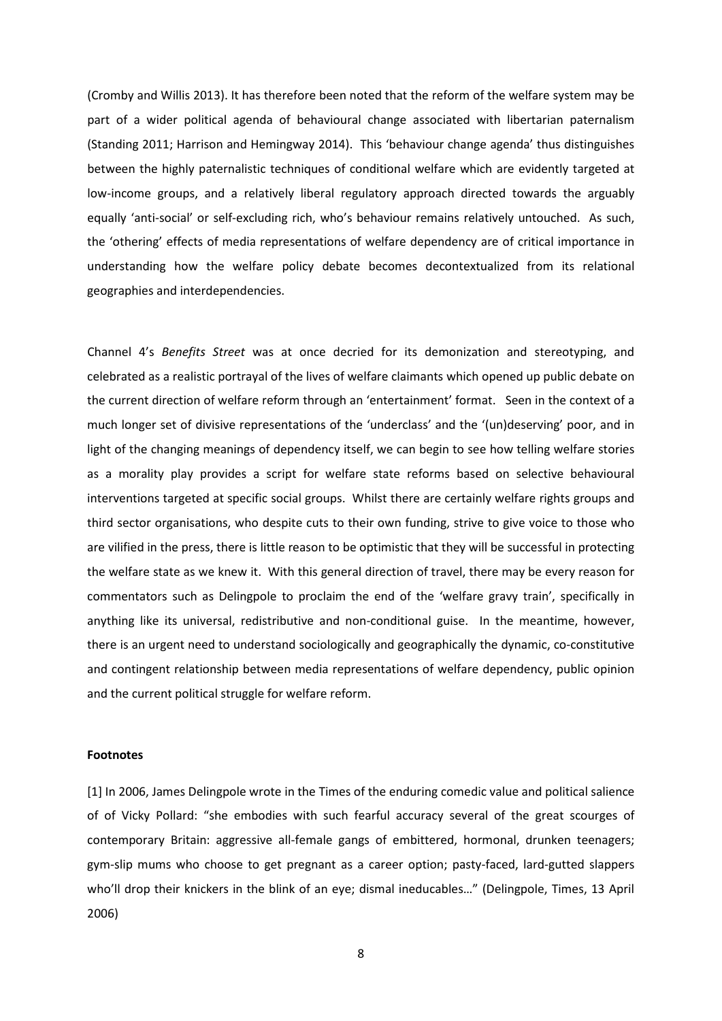(Cromby and Willis 2013). It has therefore been noted that the reform of the welfare system may be part of a wider political agenda of behavioural change associated with libertarian paternalism (Standing 2011; Harrison and Hemingway 2014). This 'behaviour change agenda' thus distinguishes between the highly paternalistic techniques of conditional welfare which are evidently targeted at low-income groups, and a relatively liberal regulatory approach directed towards the arguably equally 'anti-social' or self-excluding rich, who's behaviour remains relatively untouched. As such, the 'othering' effects of media representations of welfare dependency are of critical importance in understanding how the welfare policy debate becomes decontextualized from its relational geographies and interdependencies.

Channel 4's *Benefits Street* was at once decried for its demonization and stereotyping, and celebrated as a realistic portrayal of the lives of welfare claimants which opened up public debate on the current direction of welfare reform through an 'entertainment' format. Seen in the context of a much longer set of divisive representations of the 'underclass' and the '(un)deserving' poor, and in light of the changing meanings of dependency itself, we can begin to see how telling welfare stories as a morality play provides a script for welfare state reforms based on selective behavioural interventions targeted at specific social groups. Whilst there are certainly welfare rights groups and third sector organisations, who despite cuts to their own funding, strive to give voice to those who are vilified in the press, there is little reason to be optimistic that they will be successful in protecting the welfare state as we knew it. With this general direction of travel, there may be every reason for commentators such as Delingpole to proclaim the end of the 'welfare gravy train', specifically in anything like its universal, redistributive and non-conditional guise. In the meantime, however, there is an urgent need to understand sociologically and geographically the dynamic, co-constitutive and contingent relationship between media representations of welfare dependency, public opinion and the current political struggle for welfare reform.

### **Footnotes**

[1] In 2006, James Delingpole wrote in the Times of the enduring comedic value and political salience of of Vicky Pollard: "she embodies with such fearful accuracy several of the great scourges of contemporary Britain: aggressive all-female gangs of embittered, hormonal, drunken teenagers; gym-slip mums who choose to get pregnant as a career option; pasty-faced, lard-gutted slappers who'll drop their knickers in the blink of an eye; dismal ineducables…" (Delingpole, Times, 13 April 2006)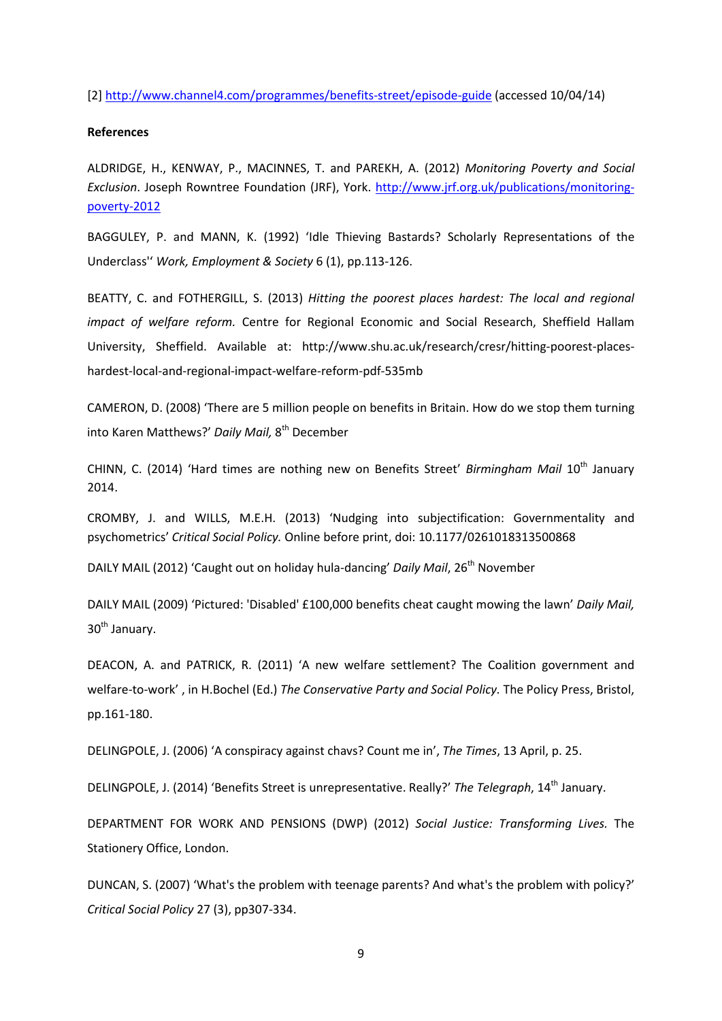[2]<http://www.channel4.com/programmes/benefits-street/episode-guide> (accessed 10/04/14)

### **References**

ALDRIDGE, H., KENWAY, P., MACINNES, T. and PAREKH, A. (2012) *Monitoring Poverty and Social Exclusion*. Joseph Rowntree Foundation (JRF), York. [http://www.jrf.org.uk/publications/monitoring](http://www.jrf.org.uk/publications/monitoring-poverty-2012)[poverty-2012](http://www.jrf.org.uk/publications/monitoring-poverty-2012)

BAGGULEY, P. and MANN, K. (1992) 'Idle Thieving Bastards? Scholarly Representations of the Underclass'' *Work, Employment & Society* 6 (1), pp.113-126.

BEATTY, C. and FOTHERGILL, S. (2013) *Hitting the poorest places hardest: The local and regional impact of welfare reform.* Centre for Regional Economic and Social Research, Sheffield Hallam University, Sheffield. Available at: http://www.shu.ac.uk/research/cresr/hitting-poorest-placeshardest-local-and-regional-impact-welfare-reform-pdf-535mb

CAMERON, D. (2008) 'There are 5 million people on benefits in Britain. How do we stop them turning into Karen Matthews?' Daily Mail, 8<sup>th</sup> December

CHINN, C. (2014) 'Hard times are nothing new on Benefits Street' *Birmingham Mail* 10<sup>th</sup> January 2014.

CROMBY, J. and WILLS, M.E.H. (2013) 'Nudging into subjectification: Governmentality and psychometrics' *Critical Social Policy.* Online before print, doi: 10.1177/0261018313500868

DAILY MAIL (2012) 'Caught out on holiday hula-dancing' *Daily Mail*, 26<sup>th</sup> November

DAILY MAIL (2009) 'Pictured: 'Disabled' £100,000 benefits cheat caught mowing the lawn' *Daily Mail,* 30<sup>th</sup> January.

DEACON, A. and PATRICK, R. (2011) 'A new welfare settlement? The Coalition government and welfare-to-work' , in H.Bochel (Ed.) *The Conservative Party and Social Policy.* The Policy Press, Bristol, pp.161-180.

DELINGPOLE, J. (2006) 'A conspiracy against chavs? Count me in', *The Times*, 13 April, p. 25.

DELINGPOLE, J. (2014) 'Benefits Street is unrepresentative. Really?' *The Telegraph*, 14<sup>th</sup> January.

DEPARTMENT FOR WORK AND PENSIONS (DWP) (2012) *Social Justice: Transforming Lives.* The Stationery Office, London.

DUNCAN, S. (2007) 'What's the problem with teenage parents? And what's the problem with policy?' *Critical Social Policy* 27 (3), pp307-334.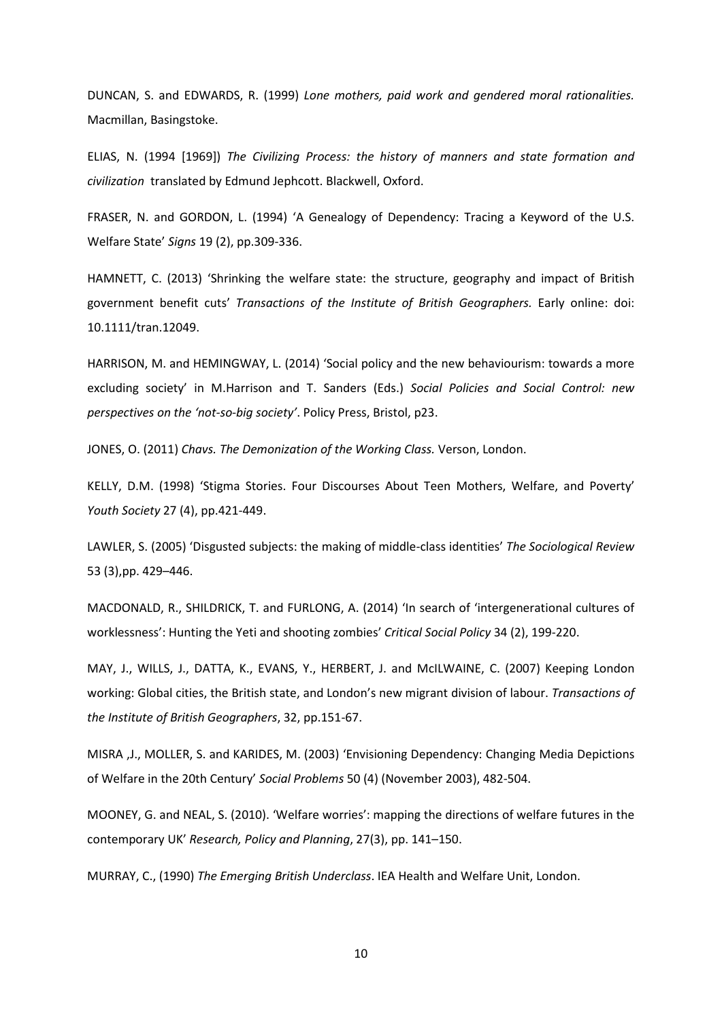DUNCAN, S. and EDWARDS, R. (1999) *Lone mothers, paid work and gendered moral rationalities.* Macmillan, Basingstoke.

ELIAS, N. (1994 [1969]) *The Civilizing Process: the history of manners and state formation and civilization* translated by Edmund Jephcott. Blackwell, Oxford.

FRASER, N. and GORDON, L. (1994) 'A Genealogy of Dependency: Tracing a Keyword of the U.S. Welfare State' *Signs* 19 (2), pp.309-336.

HAMNETT, C. (2013) 'Shrinking the welfare state: the structure, geography and impact of British government benefit cuts' *Transactions of the Institute of British Geographers.* Early online: doi: 10.1111/tran.12049.

HARRISON, M. and HEMINGWAY, L. (2014) 'Social policy and the new behaviourism: towards a more excluding society' in M.Harrison and T. Sanders (Eds.) *Social Policies and Social Control: new perspectives on the 'not-so-big society'*. Policy Press, Bristol, p23.

JONES, O. (2011) *Chavs. The Demonization of the Working Class.* Verson, London.

KELLY, D.M. (1998) 'Stigma Stories. Four Discourses About Teen Mothers, Welfare, and Poverty' *Youth Society* 27 (4), pp.421-449.

LAWLER, S. (2005) 'Disgusted subjects: the making of middle-class identities' *The Sociological Review*  53 (3),pp. 429–446.

MACDONALD, R., SHILDRICK, T. and FURLONG, A. (2014) 'In search of 'intergenerational cultures of worklessness': Hunting the Yeti and shooting zombies' *Critical Social Policy* 34 (2), 199-220.

MAY, J., WILLS, J., DATTA, K., EVANS, Y., HERBERT, J. and McILWAINE, C. (2007) Keeping London working: Global cities, the British state, and London's new migrant division of labour. *Transactions of the Institute of British Geographers*, 32, pp.151-67.

MISRA ,J., MOLLER, S. and KARIDES, M. (2003) 'Envisioning Dependency: Changing Media Depictions of Welfare in the 20th Century' *Social Problems* 50 (4) (November 2003), 482-504.

MOONEY, G. and NEAL, S. (2010). 'Welfare worries': mapping the directions of welfare futures in the contemporary UK' *Research, Policy and Planning*, 27(3), pp. 141–150.

MURRAY, C., (1990) *The Emerging British Underclass*. IEA Health and Welfare Unit, London.